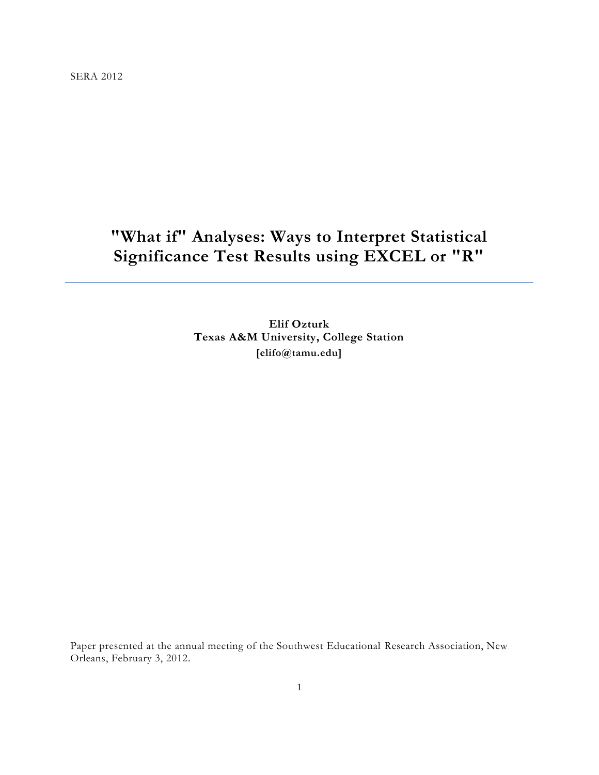SERA 2012

# **"What if" Analyses: Ways to Interpret Statistical Significance Test Results using EXCEL or "R"**

**Elif Ozturk Texas A&M University, College Station [elifo@tamu.edu]**

Paper presented at the annual meeting of the Southwest Educational Research Association, New Orleans, February 3, 2012.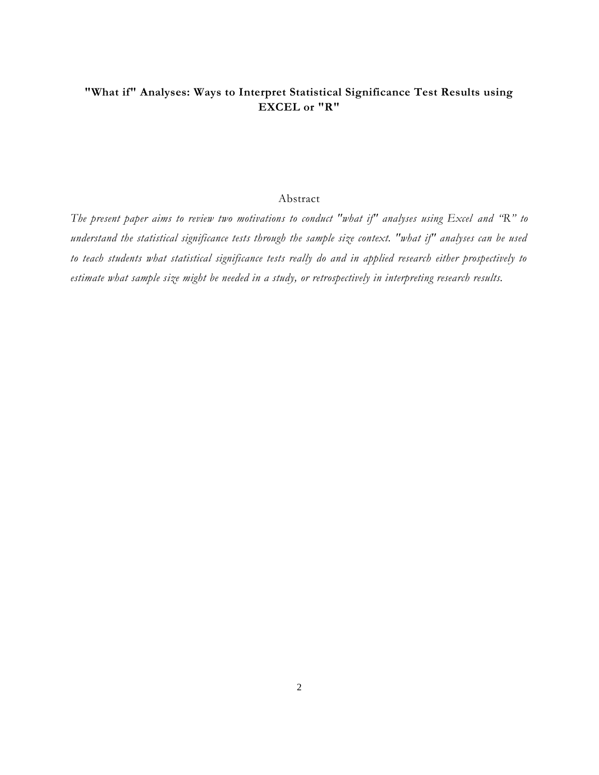# **"What if" Analyses: Ways to Interpret Statistical Significance Test Results using EXCEL or "R"**

# Abstract

*The present paper aims to review two motivations to conduct "what if" analyses using Excel and "R" to understand the statistical significance tests through the sample size context. "what if" analyses can be used to teach students what statistical significance tests really do and in applied research either prospectively to estimate what sample size might be needed in a study, or retrospectively in interpreting research results.*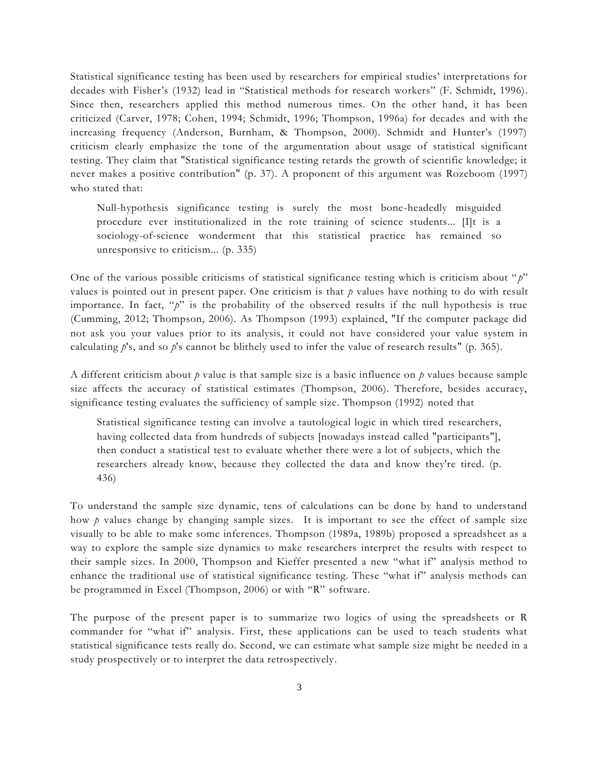Statistical significance testing has been used by researchers for empirical studies" interpretations for decades with Fisher's (1932) lead in "Statistical methods for research workers" (F. Schmidt, 1996). Since then, researchers applied this method numerous times. On the other hand, it has been criticized (Carver, 1978; Cohen, 1994; Schmidt, 1996; Thompson, 1996a) for decades and with the increasing frequency (Anderson, Burnham, & Thompson, 2000). Schmidt and Hunter's (1997) criticism clearly emphasize the tone of the argumentation about usage of statistical significant testing. They claim that "Statistical significance testing retards the growth of scientific knowledge; it never makes a positive contribution" (p. 37). A proponent of this argument was Rozeboom (1997) who stated that:

Null-hypothesis significance testing is surely the most bone-headedly misguided procedure ever institutionalized in the rote training of science students... [I]t is a sociology-of-science wonderment that this statistical practice has remained so unresponsive to criticism... (p. 335)

One of the various possible criticisms of statistical significance testing which is criticism about " *p*" values is pointed out in present paper. One criticism is that *p* values have nothing to do with result importance. In fact, "*p*" is the probability of the observed results if the null hypothesis is true (Cumming, 2012; Thompson, 2006). As Thompson (1993) explained, "If the computer package did not ask you your values prior to its analysis, it could not have considered your value system in calculating *p*'s, and so *p*'s cannot be blithely used to infer the value of research results" (p. 365).

A different criticism about *p* value is that sample size is a basic influence on *p* values because sample size affects the accuracy of statistical estimates (Thompson, 2006). Therefore, besides accuracy, significance testing evaluates the sufficiency of sample size. Thompson (1992) noted that

Statistical significance testing can involve a tautological logic in which tired researchers, having collected data from hundreds of subjects [nowadays instead called "participants"], then conduct a statistical test to evaluate whether there were a lot of subjects, which the researchers already know, because they collected the data and know they're tired. (p. 436)

To understand the sample size dynamic, tens of calculations can be done by hand to understand how *p* values change by changing sample sizes. It is important to see the effect of sample size visually to be able to make some inferences. Thompson (1989a, 1989b) proposed a spreadsheet as a way to explore the sample size dynamics to make researchers interpret the results with respect to their sample sizes. In 2000, Thompson and Kieffer presented a new "what if" analysis method to enhance the traditional use of statistical significance testing. These "what if" analysis methods can be programmed in Excel (Thompson, 2006) or with "R" software.

The purpose of the present paper is to summarize two logics of using the spreadsheets or R commander for "what if" analysis. First, these applications can be used to teach students what statistical significance tests really do. Second, we can estimate what sample size might be needed in a study prospectively or to interpret the data retrospectively.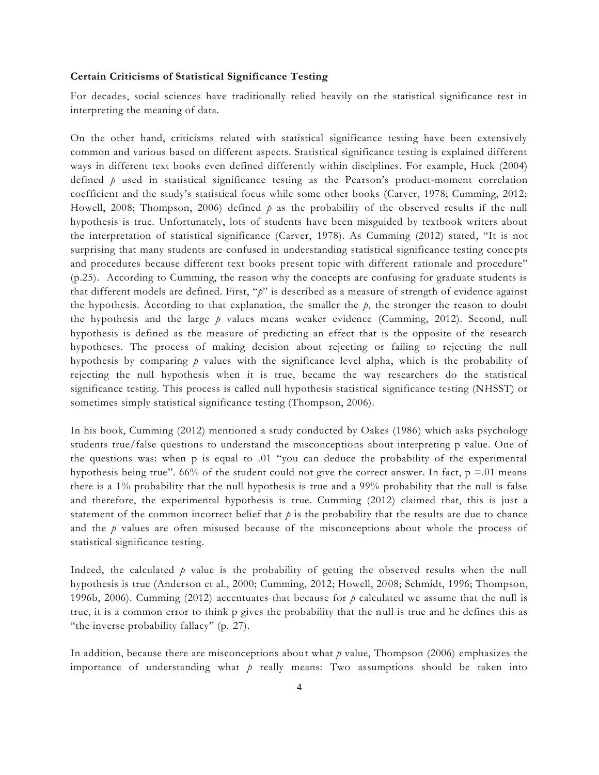#### **Certain Criticisms of Statistical Significance Testing**

For decades, social sciences have traditionally relied heavily on the statistical significance test in interpreting the meaning of data.

On the other hand, criticisms related with statistical significance testing have been extensively common and various based on different aspects. Statistical significance testing is explained different ways in different text books even defined differently within disciplines. For example, Huck (2004) defined  $p$  used in statistical significance testing as the Pearson's product-moment correlation coefficient and the study"s statistical focus while some other books (Carver, 1978; Cumming, 2012; Howell, 2008; Thompson, 2006) defined *p* as the probability of the observed results if the null hypothesis is true. Unfortunately, lots of students have been misguided by textbook writers about the interpretation of statistical significance (Carver, 1978). As Cumming (2012) stated, "It is not surprising that many students are confused in understanding statistical significance testing conce pts and procedures because different text books present topic with different rationale and procedure" (p.25). According to Cumming, the reason why the concepts are confusing for graduate students is that different models are defined. First, "*p*" is described as a measure of strength of evidence against the hypothesis. According to that explanation, the smaller the  $p$ , the stronger the reason to doubt the hypothesis and the large *p* values means weaker evidence (Cumming, 2012). Second, null hypothesis is defined as the measure of predicting an effect that is the opposite of the research hypotheses. The process of making decision about rejecting or failing to rejecting the null hypothesis by comparing *p* values with the significance level alpha, which is the probability of rejecting the null hypothesis when it is true, became the way researchers do the statistical significance testing. This process is called null hypothesis statistical significance testing (NHSST) or sometimes simply statistical significance testing (Thompson, 2006).

In his book, Cumming (2012) mentioned a study conducted by Oakes (1986) which asks psychology students true/false questions to understand the misconceptions about interpreting p value. One of the questions was: when  $p$  is equal to .01 "you can deduce the probability of the experimental hypothesis being true". 66% of the student could not give the correct answer. In fact,  $p = 01$  means there is a 1% probability that the null hypothesis is true and a 99% probability that the null is false and therefore, the experimental hypothesis is true. Cumming (2012) claimed that, this is just a statement of the common incorrect belief that  $p$  is the probability that the results are due to chance and the *p* values are often misused because of the misconceptions about whole the process of statistical significance testing.

Indeed, the calculated  $\dot{p}$  value is the probability of getting the observed results when the null hypothesis is true (Anderson et al., 2000; Cumming, 2012; Howell, 2008; Schmidt, 1996; Thompson, 1996b, 2006). Cumming (2012) accentuates that because for *p* calculated we assume that the null is true, it is a common error to think p gives the probability that the null is true and he defines this as "the inverse probability fallacy" (p. 27).

In addition, because there are misconceptions about what *p* value, Thompson (2006) emphasizes the importance of understanding what *p* really means: Two assumptions should be taken into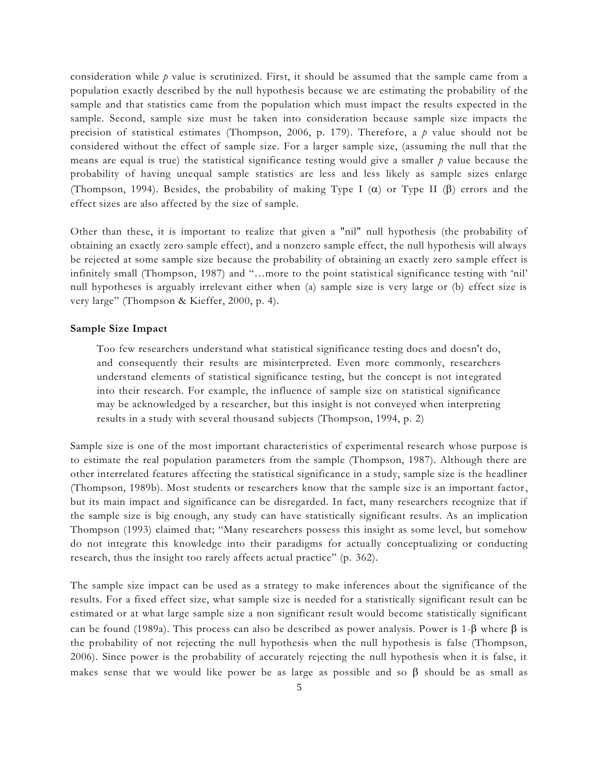consideration while *p* value is scrutinized. First, it should be assumed that the sample came from a population exactly described by the null hypothesis because we are estimating the probability of the sample and that statistics came from the population which must impact the results expected in the sample. Second, sample size must be taken into consideration because sample size impacts the precision of statistical estimates (Thompson, 2006, p. 179). Therefore, a *p* value should not be considered without the effect of sample size. For a larger sample size, (assuming the null that the means are equal is true) the statistical significance testing would give a smaller *p* value because the probability of having unequal sample statistics are less and less likely as sample sizes enlarge (Thompson, 1994). Besides, the probability of making Type I  $(\alpha)$  or Type II ( $\beta$ ) errors and the effect sizes are also affected by the size of sample.

Other than these, it is important to realize that given a "nil" null hypothesis (the probability of obtaining an exactly zero sample effect), and a nonzero sample effect, the null hypothesis will always be rejected at some sample size because the probability of obtaining an exactly zero sample effect is infinitely small (Thompson, 1987) and "…more to the point statistical significance testing with "nil" null hypotheses is arguably irrelevant either when (a) sample size is very large or (b) effect size is very large" (Thompson & Kieffer, 2000, p. 4).

#### **Sample Size Impact**

Too few researchers understand what statistical significance testing does and doesn't do, and consequently their results are misinterpreted. Even more commonly, researchers understand elements of statistical significance testing, but the concept is not integrated into their research. For example, the influence of sample size on statistical significance may be acknowledged by a researcher, but this insight is not conveyed when interpreting results in a study with several thousand subjects (Thompson, 1994, p. 2)

Sample size is one of the most important characteristics of experimental research whose purpose is to estimate the real population parameters from the sample (Thompson, 1987). Although there are other interrelated features affecting the statistical significance in a study, sample size is the headliner (Thompson, 1989b). Most students or researchers know that the sample size is an important factor, but its main impact and significance can be disregarded. In fact, many researchers recognize that if the sample size is big enough, any study can have statistically significant results. As an implication Thompson (1993) claimed that; "Many researchers possess this insight as some level, but somehow do not integrate this knowledge into their paradigms for actually conceptualizing or conducting research, thus the insight too rarely affects actual practice" (p. 362).

The sample size impact can be used as a strategy to make inferences about the significance of the results. For a fixed effect size, what sample size is needed for a statistically significant result can be estimated or at what large sample size a non significant result would become statistically significant can be found (1989a). This process can also be described as power analysis. Power is 1- $\beta$  where  $\beta$  is the probability of not rejecting the null hypothesis when the null hypothesis is false (Thompson, 2006). Since power is the probability of accurately rejecting the null hypothesis when it is false, it makes sense that we would like power be as large as possible and so  $\beta$  should be as small as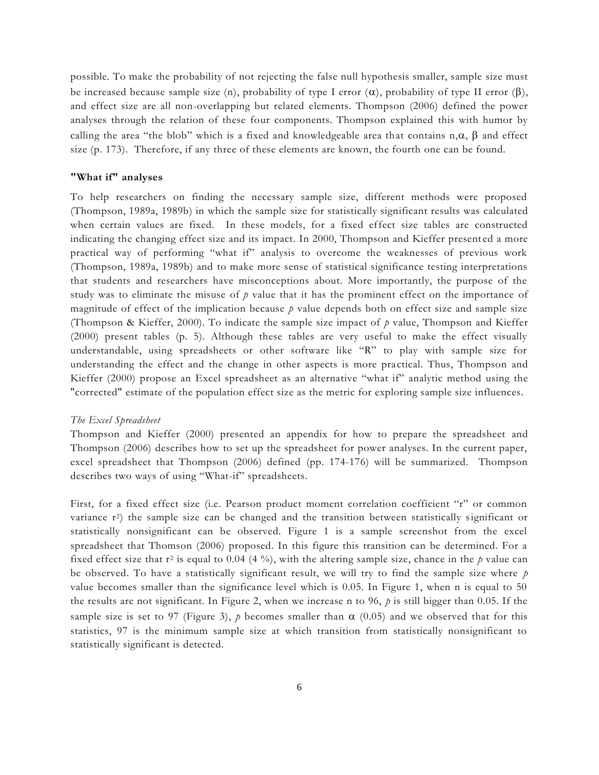possible. To make the probability of not rejecting the false null hypothesis smaller, sample size must be increased because sample size (n), probability of type I error  $(\alpha)$ , probability of type II error  $(\beta)$ , and effect size are all non-overlapping but related elements. Thompson (2006) defined the power analyses through the relation of these four components. Thompson explained this with humor by calling the area "the blob" which is a fixed and knowledgeable area that contains  $n, \alpha$ ,  $\beta$  and effect size (p. 173). Therefore, if any three of these elements are known, the fourth one can be found.

# **"What if" analyses**

To help researchers on finding the necessary sample size, different methods were proposed (Thompson, 1989a, 1989b) in which the sample size for statistically significant results was calculated when certain values are fixed. In these models, for a fixed effect size tables are constructed indicating the changing effect size and its impact. In 2000, Thompson and Kieffer present ed a more practical way of performing "what if" analysis to overcome the weaknesses of previous work (Thompson, 1989a, 1989b) and to make more sense of statistical significance testing interpretations that students and researchers have misconceptions about. More importantly, the purpose of the study was to eliminate the misuse of  $p$  value that it has the prominent effect on the importance of magnitude of effect of the implication because  $p$  value depends both on effect size and sample size (Thompson & Kieffer, 2000). To indicate the sample size impact of *p* value, Thompson and Kieffer (2000) present tables (p. 5). Although these tables are very useful to make the effect visually understandable, using spreadsheets or other software like "R" to play with sample size for understanding the effect and the change in other aspects is more practical. Thus, Thompson and Kieffer (2000) propose an Excel spreadsheet as an alternative "what if" analytic method using the "corrected" estimate of the population effect size as the metric for exploring sample size influences.

#### *The Excel Spreadsheet*

Thompson and Kieffer (2000) presented an appendix for how to prepare the spreadsheet and Thompson (2006) describes how to set up the spreadsheet for power analyses. In the current paper, excel spreadsheet that Thompson (2006) defined (pp. 174-176) will be summarized. Thompson describes two ways of using "What-if" spreadsheets.

First, for a fixed effect size (i.e. Pearson product moment correlation coefficient "r" or common variance r<sup>2</sup>) the sample size can be changed and the transition between statistically significant or statistically nonsignificant can be observed. Figure 1 is a sample screenshot from the excel spreadsheet that Thomson (2006) proposed. In this figure this transition can be determined. For a fixed effect size that  $r^2$  is equal to 0.04 (4 %), with the altering sample size, chance in the  $p$  value can be observed. To have a statistically significant result, we will try to find the sample size where *p* value becomes smaller than the significance level which is 0.05. In Figure 1, when n is equal to 50 the results are not significant. In Figure 2, when we increase n to 96,  $\dot{p}$  is still bigger than 0.05. If the sample size is set to 97 (Figure 3),  $p$  becomes smaller than  $\alpha$  (0.05) and we observed that for this statistics, 97 is the minimum sample size at which transition from statistically nonsignificant to statistically significant is detected.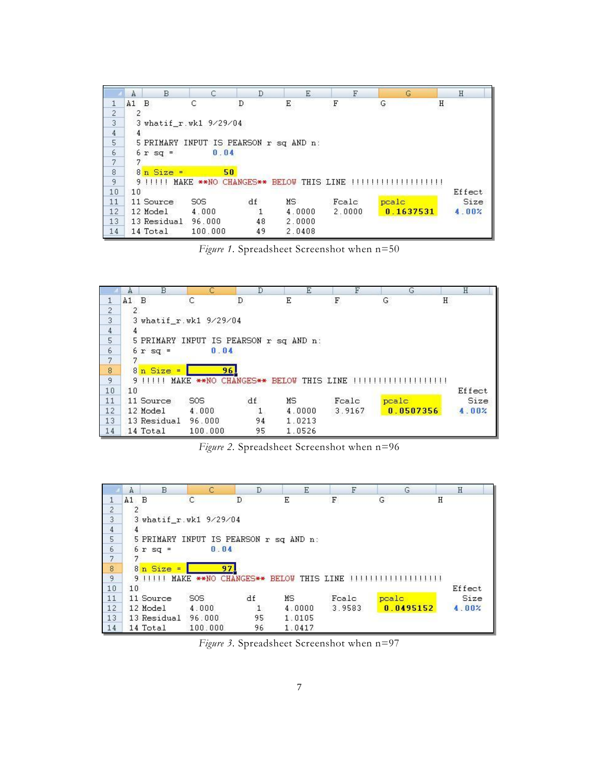|                                            | B<br>A                                 | C                    | D  | Ε                      | F           | G         | H      |  |  |  |  |
|--------------------------------------------|----------------------------------------|----------------------|----|------------------------|-------------|-----------|--------|--|--|--|--|
| 1                                          | $A1$ B                                 | С                    | D  | Ε                      | $\mathbf F$ | G         | Η      |  |  |  |  |
| $\frac{2}{3}$                              | 2                                      |                      |    |                        |             |           |        |  |  |  |  |
|                                            | 3 whatif_r.wk1 9/29/04                 |                      |    |                        |             |           |        |  |  |  |  |
|                                            | 4                                      |                      |    |                        |             |           |        |  |  |  |  |
| $\frac{4}{5}$                              | 5 PRIMARY INPUT IS PEARSON r sq AND n: |                      |    |                        |             |           |        |  |  |  |  |
|                                            | $6r$ sq =                              | 0.04                 |    |                        |             |           |        |  |  |  |  |
| $\begin{array}{c} 6 \\ 7 \\ 8 \end{array}$ |                                        |                      |    |                        |             |           |        |  |  |  |  |
|                                            | $8n$ Size =                            | 50                   |    |                        |             |           |        |  |  |  |  |
| 9                                          | 91111                                  | MAKE ** NO CHANGES** |    | <b>BELOW THIS LINE</b> |             |           |        |  |  |  |  |
| 10                                         | 10                                     |                      |    |                        |             |           | Effect |  |  |  |  |
| 11                                         | 11 Source                              | S0S                  | df | MS.                    | Fcalc       | peale     | Size   |  |  |  |  |
| 12                                         | 12 Model                               | 4.000                | 1  | 4.0000                 | 2.0000      | 0.1637531 | 4.00%  |  |  |  |  |
| 13                                         | 13 Residual                            | 96.000               | 48 | 2.0000                 |             |           |        |  |  |  |  |
| 14                                         | 14 Total                               | 100.000              | 49 | 2.0408                 |             |           |        |  |  |  |  |

*Figure 1.* Spreadsheet Screenshot when n=50



*Figure 2.* Spreadsheet Screenshot when n=96

|                                       | A                                         | B           |                            | D  | Ε         | F      | G         | H      |  |  |  |  |
|---------------------------------------|-------------------------------------------|-------------|----------------------------|----|-----------|--------|-----------|--------|--|--|--|--|
|                                       | A1 B                                      |             | C                          | D  | Ε         | F      | G         | Η      |  |  |  |  |
| $\frac{2}{3}$                         |                                           |             |                            |    |           |        |           |        |  |  |  |  |
|                                       | 3 whatif_r.wk1 9/29/04                    |             |                            |    |           |        |           |        |  |  |  |  |
|                                       |                                           |             |                            |    |           |        |           |        |  |  |  |  |
| $\frac{4}{5}$                         | INPUT IS PEARSON r sq AND n:<br>5 PRIMARY |             |                            |    |           |        |           |        |  |  |  |  |
| $\begin{array}{c} 6 \\ 7 \end{array}$ |                                           | $6r$ sq =   | 0.04                       |    |           |        |           |        |  |  |  |  |
|                                       |                                           |             |                            |    |           |        |           |        |  |  |  |  |
| $\frac{8}{9}$                         |                                           | $8n$ Size = | 97                         |    |           |        |           |        |  |  |  |  |
|                                       |                                           | 9 1 1 1 1 1 | MAKE ** NO CHANGES** BELOW |    | THIS LINE |        |           |        |  |  |  |  |
| 10                                    | 10                                        |             |                            |    |           |        |           | Effect |  |  |  |  |
| 11                                    |                                           | 11 Source   | S <sub>OS</sub>            | df | ΜS        | Fcalc  | peale     | Size   |  |  |  |  |
| 12                                    |                                           | 12 Model    | 4.000                      |    | 4.0000    | 3.9583 | 0.0495152 | 4.00%  |  |  |  |  |
| 13                                    |                                           | 13 Residual | 96.000                     | 95 | 1.0105    |        |           |        |  |  |  |  |
| 14                                    |                                           | 14 Total    | 100.000                    | 96 | 1.0417    |        |           |        |  |  |  |  |

Figure 3. Spreadsheet Screenshot when n=97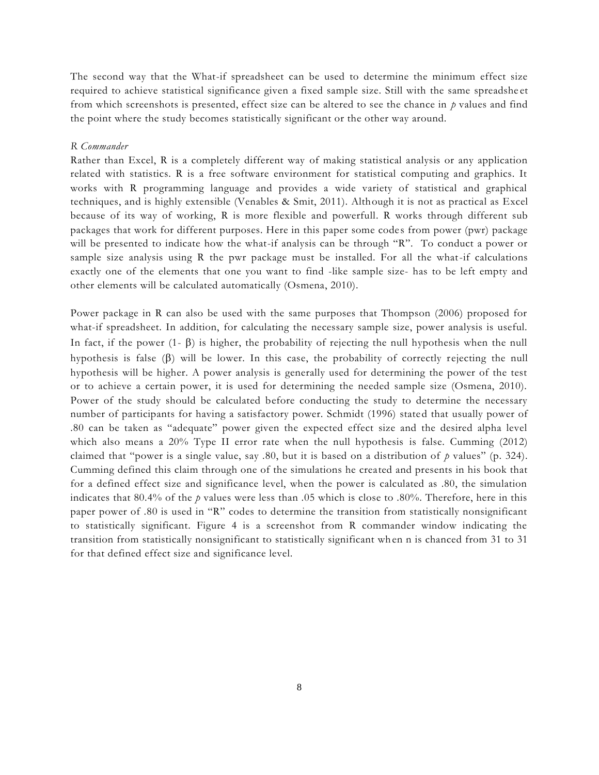The second way that the What-if spreadsheet can be used to determine the minimum effect size required to achieve statistical significance given a fixed sample size. Still with the same spreadshe et from which screenshots is presented, effect size can be altered to see the chance in *p* values and find the point where the study becomes statistically significant or the other way around.

#### *R Commander*

Rather than Excel, R is a completely different way of making statistical analysis or any application related with statistics. R is a free software environment for statistical computing and graphics. It works with R programming language and provides a wide variety of statistical and graphical techniques, and is highly extensible (Venables & Smit, 2011). Although it is not as practical as Excel because of its way of working, R is more flexible and powerfull. R works through different sub packages that work for different purposes. Here in this paper some code s from power (pwr) package will be presented to indicate how the what-if analysis can be through "R". To conduct a power or sample size analysis using R the pwr package must be installed. For all the what-if calculations exactly one of the elements that one you want to find -like sample size- has to be left empty and other elements will be calculated automatically (Osmena, 2010).

Power package in R can also be used with the same purposes that Thompson (2006) proposed for what-if spreadsheet. In addition, for calculating the necessary sample size, power analysis is useful. In fact, if the power  $(1-\beta)$  is higher, the probability of rejecting the null hypothesis when the null hypothesis is false  $(\beta)$  will be lower. In this case, the probability of correctly rejecting the null hypothesis will be higher. A power analysis is generally used for determining the power of the test or to achieve a certain power, it is used for determining the needed sample size (Osmena, 2010). Power of the study should be calculated before conducting the study to determine the necessary number of participants for having a satisfactory power. Schmidt (1996) stated that usually power of .80 can be taken as "adequate" power given the expected effect size and the desired alpha level which also means a 20% Type II error rate when the null hypothesis is false. Cumming (2012) claimed that "power is a single value, say .80, but it is based on a distribution of *p* values" (p. 324). Cumming defined this claim through one of the simulations he created and presents in his book that for a defined effect size and significance level, when the power is calculated as .80, the simulation indicates that 80.4% of the *p* values were less than .05 which is close to .80%. Therefore, here in this paper power of .80 is used in "R" codes to determine the transition from statistically nonsignificant to statistically significant. Figure 4 is a screenshot from R commander window indicating the transition from statistically nonsignificant to statistically significant when n is chanced from 31 to 31 for that defined effect size and significance level.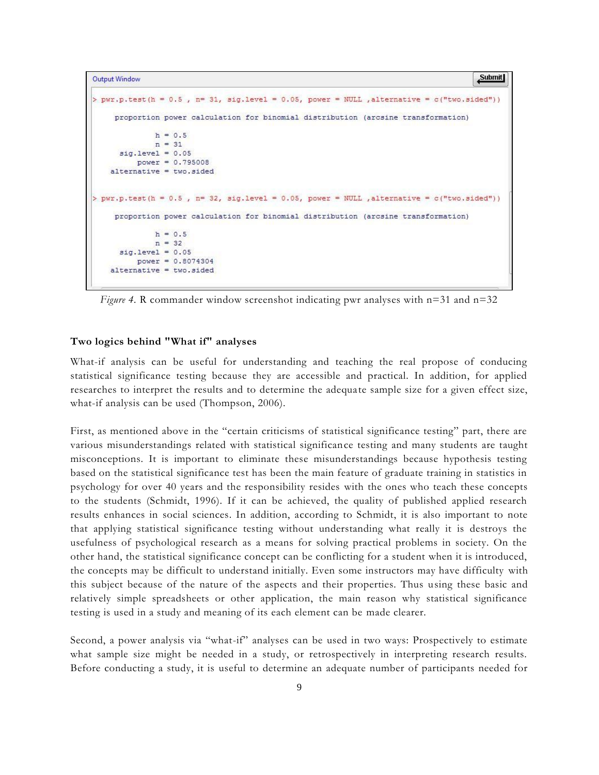```
Submit
Output Window
> pwr.p.test(h = 0.5, n= 31, sig.level = 0.05, power = NULL, alternative = c("two.sizeed"))
     proportion power calculation for binomial distribution (arcsine transformation)
              h = 0.5n = 31sig. level = 0.05power = 0.795008alternative = two. \sideset{1}{\text{min}}> pwr.p.test(h = 0.5, n= 32, sig.level = 0.05, power = NULL , alternative = c("two.sizeed"))
     proportion power calculation for binomial distribution (arcsine transformation)
              h = 0.5n = 32sig. level = 0.05power = 0.8074304\lambda alternative = two.sided
```
*Figure 4.* R commander window screenshot indicating pwr analyses with n=31 and n=32

### **Two logics behind "What if" analyses**

What-if analysis can be useful for understanding and teaching the real propose of conducing statistical significance testing because they are accessible and practical. In addition, for applied researches to interpret the results and to determine the adequate sample size for a given effect size, what-if analysis can be used (Thompson, 2006).

First, as mentioned above in the "certain criticisms of statistical significance testing" part, there are various misunderstandings related with statistical significance testing and many students are taught misconceptions. It is important to eliminate these misunderstandings because hypothesis testing based on the statistical significance test has been the main feature of graduate training in statistics in psychology for over 40 years and the responsibility resides with the ones who teach these concepts to the students (Schmidt, 1996). If it can be achieved, the quality of published applied research results enhances in social sciences. In addition, according to Schmidt, it is also important to note that applying statistical significance testing without understanding what really it is destroys the usefulness of psychological research as a means for solving practical problems in society. On the other hand, the statistical significance concept can be conflicting for a student when it is introduced, the concepts may be difficult to understand initially. Even some instructors may have difficulty with this subject because of the nature of the aspects and their properties. Thus using these basic and relatively simple spreadsheets or other application, the main reason why statistical significance testing is used in a study and meaning of its each element can be made clearer.

Second, a power analysis via "what-if" analyses can be used in two ways: Prospectively to estimate what sample size might be needed in a study, or retrospectively in interpreting research results. Before conducting a study, it is useful to determine an adequate number of participants needed for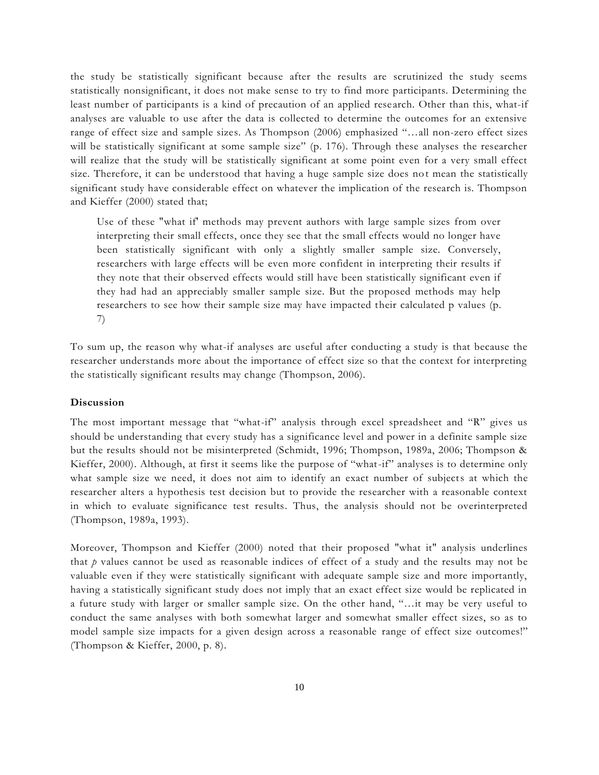the study be statistically significant because after the results are scrutinized the study seems statistically nonsignificant, it does not make sense to try to find more participants. Determining the least number of participants is a kind of precaution of an applied rese arch. Other than this, what-if analyses are valuable to use after the data is collected to determine the outcomes for an extensive range of effect size and sample sizes. As Thompson (2006) emphasized "…all non-zero effect sizes will be statistically significant at some sample size" (p. 176). Through these analyses the researcher will realize that the study will be statistically significant at some point even for a very small effect size. Therefore, it can be understood that having a huge sample size does not mean the statistically significant study have considerable effect on whatever the implication of the research is. Thompson and Kieffer (2000) stated that;

Use of these "what if' methods may prevent authors with large sample sizes from over interpreting their small effects, once they see that the small effects would no longer have been statistically significant with only a slightly smaller sample size. Conversely, researchers with large effects will be even more confident in interpreting their results if they note that their observed effects would still have been statistically significant even if they had had an appreciably smaller sample size. But the proposed methods may help researchers to see how their sample size may have impacted their calculated p values (p. 7)

To sum up, the reason why what-if analyses are useful after conducting a study is that because the researcher understands more about the importance of effect size so that the context for interpreting the statistically significant results may change (Thompson, 2006).

#### **Discussion**

The most important message that "what-if" analysis through excel spreadsheet and "R" gives us should be understanding that every study has a significance level and power in a definite sample size but the results should not be misinterpreted (Schmidt, 1996; Thompson, 1989a, 2006; Thompson & Kieffer, 2000). Although, at first it seems like the purpose of "what-if" analyses is to determine only what sample size we need, it does not aim to identify an exact number of subjects at which the researcher alters a hypothesis test decision but to provide the researcher with a reasonable context in which to evaluate significance test results. Thus, the analysis should not be overinterpreted (Thompson, 1989a, 1993).

Moreover, Thompson and Kieffer (2000) noted that their proposed "what it" analysis underlines that *p* values cannot be used as reasonable indices of effect of a study and the results may not be valuable even if they were statistically significant with adequate sample size and more importantly, having a statistically significant study does not imply that an exact effect size would be replicated in a future study with larger or smaller sample size. On the other hand, "…it may be very useful to conduct the same analyses with both somewhat larger and somewhat smaller effect sizes, so as to model sample size impacts for a given design across a reasonable range of effect size outcomes!" (Thompson & Kieffer, 2000, p. 8).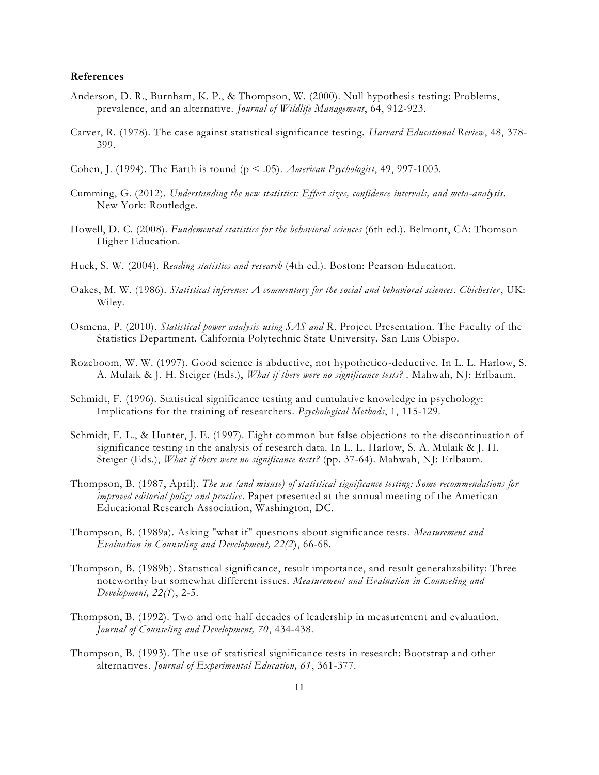#### **References**

- Anderson, D. R., Burnham, K. P., & Thompson, W. (2000). Null hypothesis testing: Problems, prevalence, and an alternative. *Journal of Wildlife Management*, 64, 912-923.
- Carver, R. (1978). The case against statistical significance testing. *Harvard Educational Review*, 48, 378- 399.
- Cohen, J. (1994). The Earth is round (p < .05). *American Psychologist*, 49, 997-1003.
- Cumming, G. (2012). *Understanding the new statistics: Effect sizes, confidence intervals, and meta-analysis*. New York: Routledge.
- Howell, D. C. (2008). *Fundemental statistics for the behavioral sciences* (6th ed.). Belmont, CA: Thomson Higher Education.
- Huck, S. W. (2004). *Reading statistics and research* (4th ed.). Boston: Pearson Education.
- Oakes, M. W. (1986). *Statistical inference: A commentary for the social and behavioral sciences. Chichester*, UK: Wiley.
- Osmena, P. (2010). *Statistical power analysis using SAS and R*. Project Presentation. The Faculty of the Statistics Department. California Polytechnic State University. San Luis Obispo.
- Rozeboom, W. W. (1997). Good science is abductive, not hypothetico-deductive. In L. L. Harlow, S. A. Mulaik & J. H. Steiger (Eds.), *What if there were no significance tests?* . Mahwah, NJ: Erlbaum.
- Schmidt, F. (1996). Statistical significance testing and cumulative knowledge in psychology: Implications for the training of researchers*. Psychological Methods*, 1, 115-129.
- Schmidt, F. L., & Hunter, J. E. (1997). Eight common but false objections to the discontinuation of significance testing in the analysis of research data. In L. L. Harlow, S. A. Mulaik & J. H. Steiger (Eds.), *What if there were no significance tests?* (pp. 37-64). Mahwah, NJ: Erlbaum.
- Thompson, B. (1987, April). *The use (and misuse) of statistical significance testing: Some recommendations for improved editorial policy and practice*. Paper presented at the annual meeting of the American Educa:ional Research Association, Washington, DC.
- Thompson, B. (1989a). Asking "what if" questions about significance tests. *Measurement and Evaluation in Counseling and Development, 22(2*), 66-68.
- Thompson, B. (1989b). Statistical significance, result importance, and result generalizability: Three noteworthy but somewhat different issues. *Measurement and Evaluation in Counseling and Development, 22(1*), 2-5.
- Thompson, B. (1992). Two and one half decades of leadership in measurement and evaluation. *Journal of Counseling and Development, 70*, 434-438.
- Thompson, B. (1993). The use of statistical significance tests in research: Bootstrap and other alternatives. *Journal of Experimental Education, 61*, 361-377.